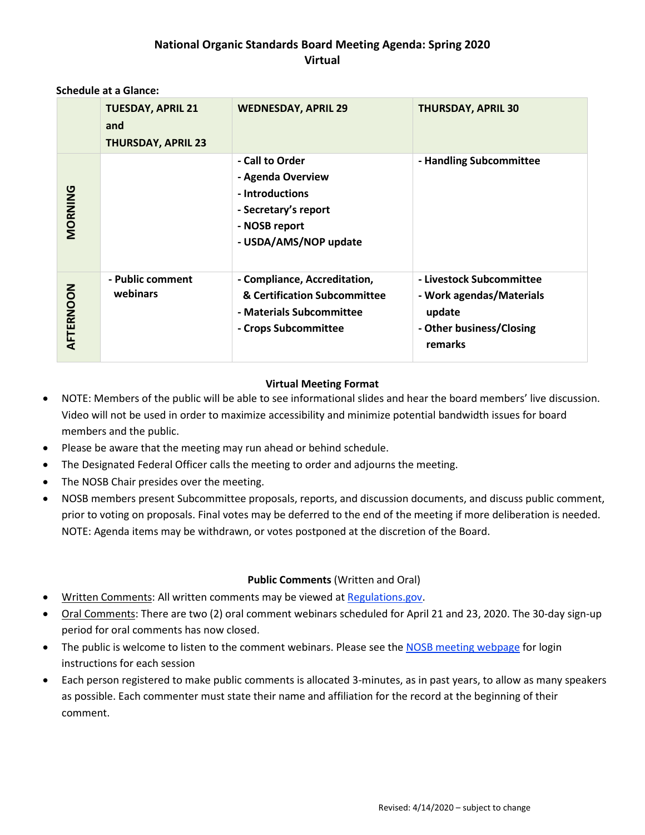## **National Organic Standards Board Meeting Agenda: Spring 2020 Virtual**

#### **Schedule at a Glance:**

|           | <b>TUESDAY, APRIL 21</b><br>and<br><b>THURSDAY, APRIL 23</b> | <b>WEDNESDAY, APRIL 29</b>                                                                                                | <b>THURSDAY, APRIL 30</b>                                                                             |
|-----------|--------------------------------------------------------------|---------------------------------------------------------------------------------------------------------------------------|-------------------------------------------------------------------------------------------------------|
| MORNING   |                                                              | - Call to Order<br>- Agenda Overview<br>- Introductions<br>- Secretary's report<br>- NOSB report<br>- USDA/AMS/NOP update | - Handling Subcommittee                                                                               |
| AFTERNOON | - Public comment<br>webinars                                 | - Compliance, Accreditation,<br>& Certification Subcommittee<br>- Materials Subcommittee<br>- Crops Subcommittee          | - Livestock Subcommittee<br>- Work agendas/Materials<br>update<br>- Other business/Closing<br>remarks |

#### **Virtual Meeting Format**

- NOTE: Members of the public will be able to see informational slides and hear the board members' live discussion. Video will not be used in order to maximize accessibility and minimize potential bandwidth issues for board members and the public.
- Please be aware that the meeting may run ahead or behind schedule.
- The Designated Federal Officer calls the meeting to order and adjourns the meeting.
- The NOSB Chair presides over the meeting.
- NOSB members present Subcommittee proposals, reports, and discussion documents, and discuss public comment, prior to voting on proposals. Final votes may be deferred to the end of the meeting if more deliberation is needed. NOTE: Agenda items may be withdrawn, or votes postponed at the discretion of the Board.

### **Public Comments** (Written and Oral)

- Written Comments: All written comments may be viewed at [Regulations.gov.](https://www.regulations.gov/docket?D=AMS-NOP-19-0095)
- Oral Comments: There are two (2) oral comment webinars scheduled for April 21 and 23, 2020. The 30-day sign-up period for oral comments has now closed.
- The public is welcome to listen to the comment webinars. Please see th[e NOSB meeting webpage](https://www.ams.usda.gov/event/national-organic-standards-board-nosb-meeting-crystal-city-va) for login instructions for each session
- Each person registered to make public comments is allocated 3-minutes, as in past years, to allow as many speakers as possible. Each commenter must state their name and affiliation for the record at the beginning of their comment.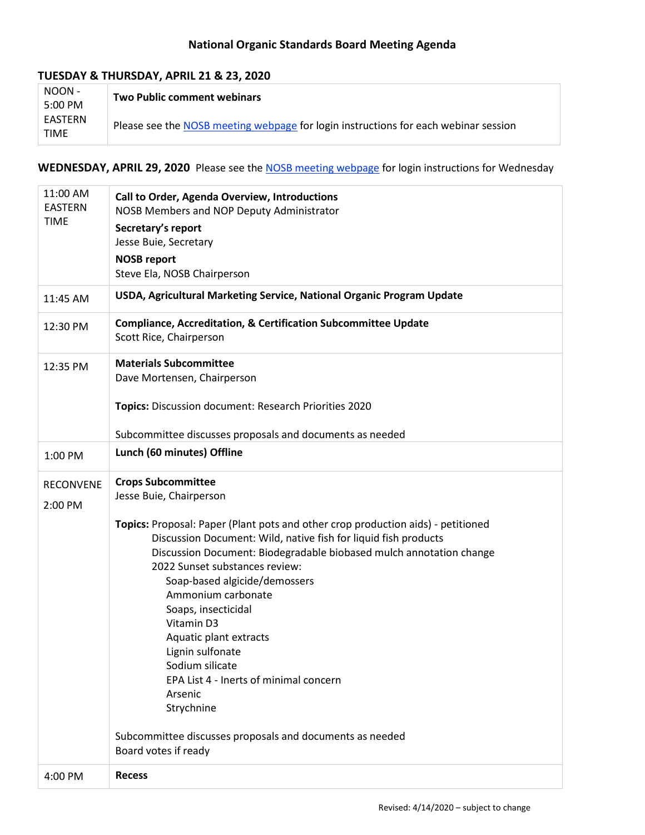# **National Organic Standards Board Meeting Agenda**

### **TUESDAY & THURSDAY, APRIL 21 & 23, 2020**

| NOON -<br>5:00 PM      | <b>Two Public comment webinars</b>                                                  |
|------------------------|-------------------------------------------------------------------------------------|
| EASTERN<br><b>TIME</b> | Please see the NOSB meeting webpage for login instructions for each webinar session |

## WEDNESDAY, APRIL 29, 2020 Please see the **NOSB** meeting webpage for login instructions for Wednesday

| 11:00 AM<br><b>EASTERN</b><br><b>TIME</b> | Call to Order, Agenda Overview, Introductions<br>NOSB Members and NOP Deputy Administrator<br>Secretary's report<br>Jesse Buie, Secretary<br><b>NOSB report</b>                                                                                                                                                                                                                                                                                                                              |  |  |
|-------------------------------------------|----------------------------------------------------------------------------------------------------------------------------------------------------------------------------------------------------------------------------------------------------------------------------------------------------------------------------------------------------------------------------------------------------------------------------------------------------------------------------------------------|--|--|
|                                           | Steve Ela, NOSB Chairperson                                                                                                                                                                                                                                                                                                                                                                                                                                                                  |  |  |
| 11:45 AM                                  | USDA, Agricultural Marketing Service, National Organic Program Update                                                                                                                                                                                                                                                                                                                                                                                                                        |  |  |
| 12:30 PM                                  | <b>Compliance, Accreditation, &amp; Certification Subcommittee Update</b><br>Scott Rice, Chairperson                                                                                                                                                                                                                                                                                                                                                                                         |  |  |
| 12:35 PM                                  | <b>Materials Subcommittee</b><br>Dave Mortensen, Chairperson                                                                                                                                                                                                                                                                                                                                                                                                                                 |  |  |
|                                           | Topics: Discussion document: Research Priorities 2020                                                                                                                                                                                                                                                                                                                                                                                                                                        |  |  |
|                                           | Subcommittee discusses proposals and documents as needed                                                                                                                                                                                                                                                                                                                                                                                                                                     |  |  |
| 1:00 PM                                   | Lunch (60 minutes) Offline                                                                                                                                                                                                                                                                                                                                                                                                                                                                   |  |  |
| <b>RECONVENE</b><br>2:00 PM               | <b>Crops Subcommittee</b><br>Jesse Buie, Chairperson                                                                                                                                                                                                                                                                                                                                                                                                                                         |  |  |
|                                           | Topics: Proposal: Paper (Plant pots and other crop production aids) - petitioned<br>Discussion Document: Wild, native fish for liquid fish products<br>Discussion Document: Biodegradable biobased mulch annotation change<br>2022 Sunset substances review:<br>Soap-based algicide/demossers<br>Ammonium carbonate<br>Soaps, insecticidal<br>Vitamin D3<br>Aquatic plant extracts<br>Lignin sulfonate<br>Sodium silicate<br>EPA List 4 - Inerts of minimal concern<br>Arsenic<br>Strychnine |  |  |
|                                           | Subcommittee discusses proposals and documents as needed<br>Board votes if ready                                                                                                                                                                                                                                                                                                                                                                                                             |  |  |
| 4:00 PM                                   | <b>Recess</b>                                                                                                                                                                                                                                                                                                                                                                                                                                                                                |  |  |